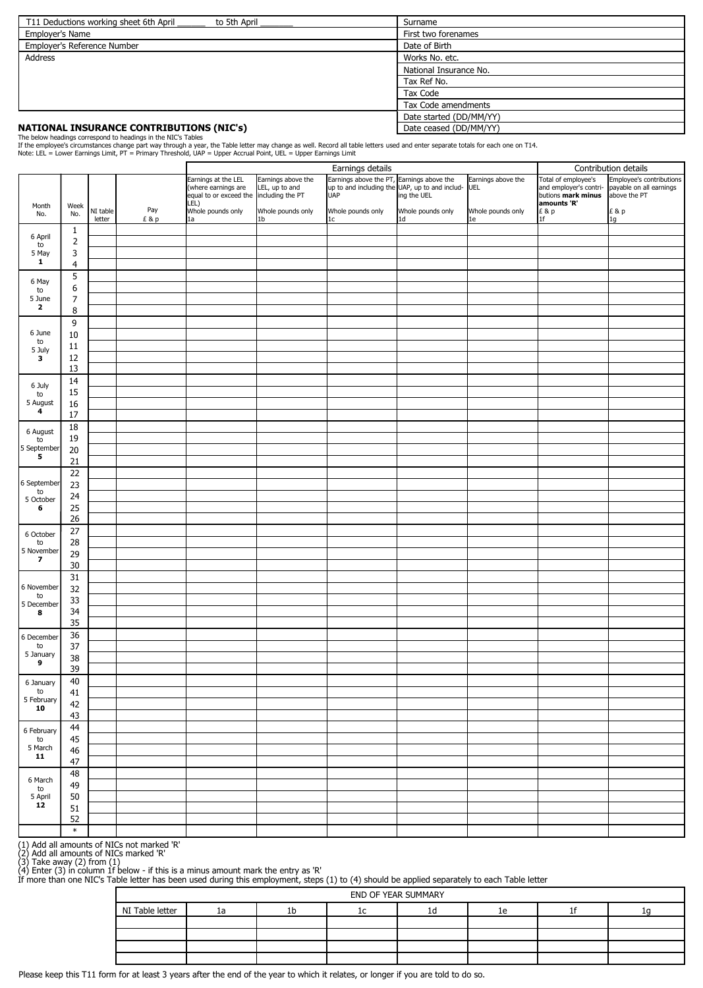| T11 Deductions working sheet 6th April<br>to 5th April | Surname                 |  |  |
|--------------------------------------------------------|-------------------------|--|--|
| <b>Employer's Name</b>                                 | First two forenames     |  |  |
| Employer's Reference Number                            | Date of Birth           |  |  |
| <b>Address</b>                                         | Works No. etc.          |  |  |
|                                                        | National Insurance No.  |  |  |
|                                                        | Tax Ref No.             |  |  |
|                                                        | Tax Code                |  |  |
|                                                        | Tax Code amendments     |  |  |
|                                                        | Date started (DD/MM/YY) |  |  |
| <b>NATIONAL INSURANCE CONTRIBUTIONS (NIC's)</b>        | Date ceased (DD/MM/YY)  |  |  |

| 5 February  <br>10             | 42     |  |  |  |  |  |
|--------------------------------|--------|--|--|--|--|--|
|                                | 43     |  |  |  |  |  |
| 6 February                     | 44     |  |  |  |  |  |
| to                             | 45     |  |  |  |  |  |
| 5 March                        | 46     |  |  |  |  |  |
| 11                             | 47     |  |  |  |  |  |
| 6 March<br>to<br>5 April<br>12 | 48     |  |  |  |  |  |
|                                | 49     |  |  |  |  |  |
|                                | 50     |  |  |  |  |  |
|                                | 51     |  |  |  |  |  |
|                                | 52     |  |  |  |  |  |
|                                | $\ast$ |  |  |  |  |  |

Please keep this T11 form for at least 3 years after the end of the year to which it relates, or longer if you are told to do so.

|                         |                  |          |     | Earnings details                                                                                                    |                                         |                                                                              |                                                                                        |                                         | Contribution details                                                                              |                                                                            |  |
|-------------------------|------------------|----------|-----|---------------------------------------------------------------------------------------------------------------------|-----------------------------------------|------------------------------------------------------------------------------|----------------------------------------------------------------------------------------|-----------------------------------------|---------------------------------------------------------------------------------------------------|----------------------------------------------------------------------------|--|
| Month<br>No.            | Week<br>No.      | NI table | Pay | Earnings at the LEL<br>EL, up to and<br>equal to or exceed the lincluding the PT<br>LEL)<br>Whole pounds only<br>la | Earnings above the<br>Whole pounds only | Earnings above the PT, Earnings above the<br><b>UAP</b><br>Whole pounds only | up to and including the UAP, up to and includ- UEL<br>ing the UEL<br>Whole pounds only | Earnings above the<br>Whole pounds only | Total of employee's<br>and employer's contri-<br>butions mark minus<br>amounts 'R'<br>£ & p<br>1f | Employee's contributions<br>payable on all earnings<br>above the PT<br>£&p |  |
|                         |                  | letter   | £&p | 1a                                                                                                                  |                                         | 1 <sub>c</sub>                                                               | 1 <sub>d</sub>                                                                         | 1e                                      |                                                                                                   | 1g                                                                         |  |
| 6 April                 | $\mathbf{1}$     |          |     |                                                                                                                     |                                         |                                                                              |                                                                                        |                                         |                                                                                                   |                                                                            |  |
| to                      | $\overline{2}$   |          |     |                                                                                                                     |                                         |                                                                              |                                                                                        |                                         |                                                                                                   |                                                                            |  |
| 5 May<br>$\mathbf{1}$   | 3                |          |     |                                                                                                                     |                                         |                                                                              |                                                                                        |                                         |                                                                                                   |                                                                            |  |
|                         | $\overline{4}$   |          |     |                                                                                                                     |                                         |                                                                              |                                                                                        |                                         |                                                                                                   |                                                                            |  |
| 6 May                   | 5                |          |     |                                                                                                                     |                                         |                                                                              |                                                                                        |                                         |                                                                                                   |                                                                            |  |
| to                      | $\boldsymbol{6}$ |          |     |                                                                                                                     |                                         |                                                                              |                                                                                        |                                         |                                                                                                   |                                                                            |  |
| 5 June<br>$\mathbf{2}$  | $\overline{7}$   |          |     |                                                                                                                     |                                         |                                                                              |                                                                                        |                                         |                                                                                                   |                                                                            |  |
|                         | 8                |          |     |                                                                                                                     |                                         |                                                                              |                                                                                        |                                         |                                                                                                   |                                                                            |  |
|                         | 9                |          |     |                                                                                                                     |                                         |                                                                              |                                                                                        |                                         |                                                                                                   |                                                                            |  |
| 6 June                  | 10               |          |     |                                                                                                                     |                                         |                                                                              |                                                                                        |                                         |                                                                                                   |                                                                            |  |
| to<br>5 July            | $11\,$           |          |     |                                                                                                                     |                                         |                                                                              |                                                                                        |                                         |                                                                                                   |                                                                            |  |
| $\mathbf{3}$            | 12               |          |     |                                                                                                                     |                                         |                                                                              |                                                                                        |                                         |                                                                                                   |                                                                            |  |
|                         | 13               |          |     |                                                                                                                     |                                         |                                                                              |                                                                                        |                                         |                                                                                                   |                                                                            |  |
| 6 July                  | 14               |          |     |                                                                                                                     |                                         |                                                                              |                                                                                        |                                         |                                                                                                   |                                                                            |  |
| to                      | 15               |          |     |                                                                                                                     |                                         |                                                                              |                                                                                        |                                         |                                                                                                   |                                                                            |  |
| 5 August                | 16               |          |     |                                                                                                                     |                                         |                                                                              |                                                                                        |                                         |                                                                                                   |                                                                            |  |
| $\overline{\mathbf{4}}$ | 17               |          |     |                                                                                                                     |                                         |                                                                              |                                                                                        |                                         |                                                                                                   |                                                                            |  |
|                         | 18               |          |     |                                                                                                                     |                                         |                                                                              |                                                                                        |                                         |                                                                                                   |                                                                            |  |
| 6 August<br>to          | 19               |          |     |                                                                                                                     |                                         |                                                                              |                                                                                        |                                         |                                                                                                   |                                                                            |  |
| 5 September             | $20\,$           |          |     |                                                                                                                     |                                         |                                                                              |                                                                                        |                                         |                                                                                                   |                                                                            |  |
| 5                       | 21               |          |     |                                                                                                                     |                                         |                                                                              |                                                                                        |                                         |                                                                                                   |                                                                            |  |
|                         | 22               |          |     |                                                                                                                     |                                         |                                                                              |                                                                                        |                                         |                                                                                                   |                                                                            |  |
| 6 September             | 23               |          |     |                                                                                                                     |                                         |                                                                              |                                                                                        |                                         |                                                                                                   |                                                                            |  |
| to                      | 24               |          |     |                                                                                                                     |                                         |                                                                              |                                                                                        |                                         |                                                                                                   |                                                                            |  |
| 5 October<br>6          | 25               |          |     |                                                                                                                     |                                         |                                                                              |                                                                                        |                                         |                                                                                                   |                                                                            |  |
|                         | 26               |          |     |                                                                                                                     |                                         |                                                                              |                                                                                        |                                         |                                                                                                   |                                                                            |  |
|                         | 27               |          |     |                                                                                                                     |                                         |                                                                              |                                                                                        |                                         |                                                                                                   |                                                                            |  |
| 6 October<br>to         | 28               |          |     |                                                                                                                     |                                         |                                                                              |                                                                                        |                                         |                                                                                                   |                                                                            |  |
| 5 November              | 29               |          |     |                                                                                                                     |                                         |                                                                              |                                                                                        |                                         |                                                                                                   |                                                                            |  |
| $\overline{\mathbf{z}}$ | 30               |          |     |                                                                                                                     |                                         |                                                                              |                                                                                        |                                         |                                                                                                   |                                                                            |  |
|                         | 31               |          |     |                                                                                                                     |                                         |                                                                              |                                                                                        |                                         |                                                                                                   |                                                                            |  |
| 6 November              | 32               |          |     |                                                                                                                     |                                         |                                                                              |                                                                                        |                                         |                                                                                                   |                                                                            |  |
| to                      |                  |          |     |                                                                                                                     |                                         |                                                                              |                                                                                        |                                         |                                                                                                   |                                                                            |  |
| 5 December              | 33<br>34         |          |     |                                                                                                                     |                                         |                                                                              |                                                                                        |                                         |                                                                                                   |                                                                            |  |
| 8                       |                  |          |     |                                                                                                                     |                                         |                                                                              |                                                                                        |                                         |                                                                                                   |                                                                            |  |
|                         | 35               |          |     |                                                                                                                     |                                         |                                                                              |                                                                                        |                                         |                                                                                                   |                                                                            |  |
| 6 December              | 36               |          |     |                                                                                                                     |                                         |                                                                              |                                                                                        |                                         |                                                                                                   |                                                                            |  |
| ${\sf to}$<br>5 January | 37               |          |     |                                                                                                                     |                                         |                                                                              |                                                                                        |                                         |                                                                                                   |                                                                            |  |
| 9                       | 38               |          |     |                                                                                                                     |                                         |                                                                              |                                                                                        |                                         |                                                                                                   |                                                                            |  |
|                         | 39               |          |     |                                                                                                                     |                                         |                                                                              |                                                                                        |                                         |                                                                                                   |                                                                            |  |
| 6 January               | 40               |          |     |                                                                                                                     |                                         |                                                                              |                                                                                        |                                         |                                                                                                   |                                                                            |  |
| to                      | 41               |          |     |                                                                                                                     |                                         |                                                                              |                                                                                        |                                         |                                                                                                   |                                                                            |  |

(1) Add all amounts of NICs not marked 'R'

(2) Add all amounts of NICs marked 'R'

(3) Take away (2) from (1)

(4) Enter (3) in column 1f below - if this is a minus amount mark the entry as 'R'

If more than one NIC's Table letter has been used during this employment, steps (1) to (4) should be applied separately to each Table letter

The below headings correspond to headings in the NIC's Tables

| END OF YEAR SUMMARY                           |  |  |  |  |  |  |  |  |  |  |
|-----------------------------------------------|--|--|--|--|--|--|--|--|--|--|
| NI Table letter<br>1b<br>ıe<br>1a<br>TO<br>ТC |  |  |  |  |  |  |  |  |  |  |
|                                               |  |  |  |  |  |  |  |  |  |  |
|                                               |  |  |  |  |  |  |  |  |  |  |
|                                               |  |  |  |  |  |  |  |  |  |  |
|                                               |  |  |  |  |  |  |  |  |  |  |

If the employee's circumstances change part way through a year, the Table letter may change as well. Record all table letters used and enter separate totals for each one on T14. Note: LEL = Lower Earnings Limit, PT = Primary Threshold, UAP = Upper Accrual Point, UEL = Upper Earnings Limit